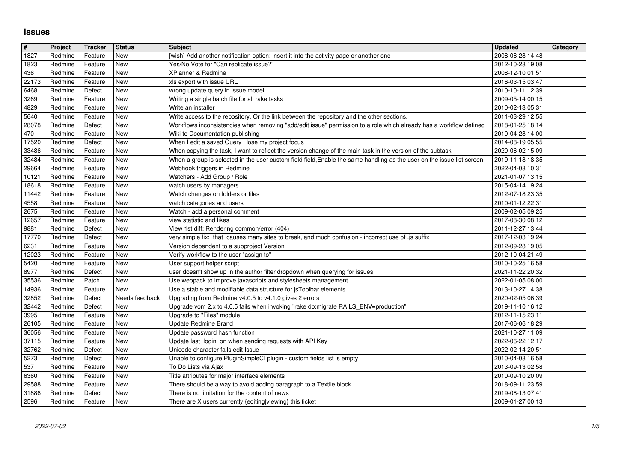## **Issues**

| $\overline{\mathbf{H}}$ | Project            | <b>Tracker</b>     | <b>Status</b>            | <b>Subject</b>                                                                                                                                                                                                                        | <b>Updated</b>                       | Category |
|-------------------------|--------------------|--------------------|--------------------------|---------------------------------------------------------------------------------------------------------------------------------------------------------------------------------------------------------------------------------------|--------------------------------------|----------|
| 1827<br>1823            | Redmine<br>Redmine | Feature<br>Feature | New<br><b>New</b>        | [wish] Add another notification option: insert it into the activity page or another one<br>Yes/No Vote for "Can replicate issue?"                                                                                                     | 2008-08-28 14:48<br>2012-10-28 19:08 |          |
| 436                     | Redmine            | Feature            | <b>New</b>               | XPlanner & Redmine                                                                                                                                                                                                                    | 2008-12-10 01:51                     |          |
| 22173<br>6468           | Redmine<br>Redmine | Feature<br>Defect  | <b>New</b><br><b>New</b> | xls export with issue URL<br>wrong update query in Issue model                                                                                                                                                                        | 2016-03-15 03:47<br>2010-10-11 12:39 |          |
| 3269                    | Redmine            | Feature            | New                      | Writing a single batch file for all rake tasks                                                                                                                                                                                        | 2009-05-14 00:15                     |          |
| 4829                    | Redmine            | Feature            | <b>New</b>               | Write an installer                                                                                                                                                                                                                    | 2010-02-13 05:31                     |          |
| 5640<br>28078           | Redmine<br>Redmine | Feature<br>Defect  | New<br>New               | Write access to the repository. Or the link between the repository and the other sections.<br>Workflows inconsistencies when removing "add/edit issue" permission to a role which already has a workflow defined                      | 2011-03-29 12:55<br>2018-01-25 18:14 |          |
| 470                     | Redmine            | Feature            | <b>New</b>               | Wiki to Documentation publishing                                                                                                                                                                                                      | 2010-04-28 14:00                     |          |
| 17520                   | Redmine            | Defect             | <b>New</b><br><b>New</b> | When I edit a saved Query I lose my project focus                                                                                                                                                                                     | 2014-08-19 05:55                     |          |
| 33486<br>32484          | Redmine<br>Redmine | Feature<br>Feature | New                      | When copying the task, I want to reflect the version change of the main task in the version of the subtask<br>When a group is selected in the user custom field field, Enable the same handling as the user on the issue list screen. | 2020-06-02 15:09<br>2019-11-18 18:35 |          |
| 29664                   | Redmine            | Feature            | New                      | Webhook triggers in Redmine                                                                                                                                                                                                           | 2022-04-08 10:31                     |          |
| 10121<br>18618          | Redmine<br>Redmine | Feature<br>Feature | New<br><b>New</b>        | Watchers - Add Group / Role<br>watch users by managers                                                                                                                                                                                | 2021-01-07 13:15<br>2015-04-14 19:24 |          |
| 11442                   | Redmine            | Feature            | New                      | Watch changes on folders or files                                                                                                                                                                                                     | 2012-07-18 23:35                     |          |
| 4558                    | Redmine            | Feature            | <b>New</b>               | watch categories and users                                                                                                                                                                                                            | 2010-01-12 22:31                     |          |
| 2675<br>12657           | Redmine<br>Redmine | Feature<br>Feature | New<br><b>New</b>        | Watch - add a personal comment<br>view statistic and likes                                                                                                                                                                            | 2009-02-05 09:25<br>2017-08-30 08:12 |          |
| 9881                    | Redmine            | Defect             | New                      | View 1st diff: Rendering common/error (404)                                                                                                                                                                                           | 2011-12-27 13:44                     |          |
| 17770                   | Redmine            | Defect             | New                      | very simple fix: that causes many sites to break, and much confusion - incorrect use of .js suffix                                                                                                                                    | 2017-12-03 19:24<br>2012-09-28 19:05 |          |
| 6231<br>12023           | Redmine<br>Redmine | Feature<br>Feature | New<br><b>New</b>        | Version dependent to a subproject Version<br>Verify workflow to the user "assign to"                                                                                                                                                  | 2012-10-04 21:49                     |          |
| 5420                    | Redmine            | Feature            | <b>New</b>               | User support helper script                                                                                                                                                                                                            | 2010-10-25 16:58                     |          |
| 8977<br>35536           | Redmine<br>Redmine | Defect<br>Patch    | <b>New</b><br>New        | user doesn't show up in the author filter dropdown when querying for issues<br>Use webpack to improve javascripts and stylesheets management                                                                                          | 2021-11-22 20:32                     |          |
| 14936                   | Redmine            | Feature            | New                      | Use a stable and modifiable data structure for jsToolbar elements                                                                                                                                                                     | 2022-01-05 08:00<br>2013-10-27 14:38 |          |
| 32852                   | Redmine            | Defect             | Needs feedback           | Upgrading from Redmine v4.0.5 to v4.1.0 gives 2 errors                                                                                                                                                                                | 2020-02-05 06:39                     |          |
| 32442<br>3995           | Redmine<br>Redmine | Defect<br>Feature  | <b>New</b><br>New        | Upgrade vom 2.x to 4.0.5 fails when invoking "rake db:migrate RAILS_ENV=production"<br>Upgrade to "Files" module                                                                                                                      | 2019-11-10 16:12<br>2012-11-15 23:11 |          |
| 26105                   | Redmine            | Feature            | <b>New</b>               | Update Redmine Brand                                                                                                                                                                                                                  | 2017-06-06 18:29                     |          |
| 36056                   | Redmine            | Feature            | <b>New</b>               | Update password hash function                                                                                                                                                                                                         | 2021-10-27 11:09                     |          |
| 37115<br>32762          | Redmine<br>Redmine | Feature<br>Defect  | <b>New</b><br>New        | Update last_login_on when sending requests with API Key<br>Unicode character fails edit Issue                                                                                                                                         | 2022-06-22 12:17<br>2022-02-14 20:51 |          |
| 5273                    | Redmine            | Defect             | New                      | Unable to configure PluginSimpleCI plugin - custom fields list is empty                                                                                                                                                               | 2010-04-08 16:58                     |          |
| 537                     | Redmine            | Feature            | New                      | To Do Lists via Ajax                                                                                                                                                                                                                  | 2013-09-13 02:58                     |          |
| 6360<br>29588           | Redmine<br>Redmine | Feature<br>Feature | New<br>New               | Title attributes for major interface elements<br>There should be a way to avoid adding paragraph to a Textile block                                                                                                                   | 2010-09-10 20:09<br>2018-09-11 23:59 |          |
| 31886                   | Redmine            | Defect             | New                      | There is no limitation for the content of news                                                                                                                                                                                        | 2019-08-13 07:41                     |          |
|                         |                    |                    |                          |                                                                                                                                                                                                                                       |                                      |          |
|                         |                    |                    |                          |                                                                                                                                                                                                                                       |                                      |          |
|                         |                    |                    |                          |                                                                                                                                                                                                                                       |                                      |          |
|                         |                    |                    |                          |                                                                                                                                                                                                                                       |                                      |          |
|                         |                    |                    |                          |                                                                                                                                                                                                                                       |                                      |          |
|                         |                    |                    |                          |                                                                                                                                                                                                                                       |                                      |          |
|                         |                    |                    |                          |                                                                                                                                                                                                                                       |                                      |          |
|                         |                    |                    |                          |                                                                                                                                                                                                                                       |                                      |          |
|                         |                    |                    |                          |                                                                                                                                                                                                                                       |                                      |          |
|                         |                    |                    |                          |                                                                                                                                                                                                                                       |                                      |          |
|                         |                    |                    |                          |                                                                                                                                                                                                                                       |                                      |          |
|                         |                    |                    |                          |                                                                                                                                                                                                                                       |                                      |          |
|                         |                    |                    |                          |                                                                                                                                                                                                                                       |                                      |          |
|                         |                    |                    |                          |                                                                                                                                                                                                                                       |                                      |          |
|                         |                    |                    |                          |                                                                                                                                                                                                                                       |                                      |          |
|                         |                    |                    |                          |                                                                                                                                                                                                                                       |                                      |          |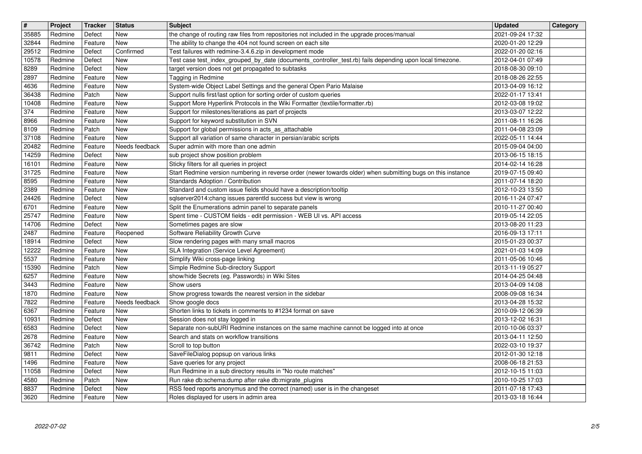| $\overline{\mathbf{H}}$ | Project            | Tracker            | <b>Status</b>            | <b>Subject</b>                                                                                                                                                       | <b>Updated</b>                       | Category |
|-------------------------|--------------------|--------------------|--------------------------|----------------------------------------------------------------------------------------------------------------------------------------------------------------------|--------------------------------------|----------|
| 35885<br>32844          | Redmine<br>Redmine | Defect<br>Feature  | New<br><b>New</b>        | the change of routing raw files from repositories not included in the upgrade proces/manual<br>The ability to change the 404 not found screen on each site           | 2021-09-24 17:32<br>2020-01-20 12:29 |          |
| 29512                   | Redmine            | Defect             | Confirmed                | Test failures with redmine-3.4.6.zip in development mode<br>Test case test_index_grouped_by_date (documents_controller_test.rb) fails depending upon local timezone. | 2022-01-20 02:16                     |          |
| 10578<br>8289           | Redmine<br>Redmine | Defect<br>Defect   | New<br>New               | target version does not get propagated to subtasks                                                                                                                   | 2012-04-01 07:49<br>2018-08-30 09:10 |          |
| 2897                    | Redmine            | Feature            | <b>New</b><br><b>New</b> | Tagging in Redmine                                                                                                                                                   | 2018-08-26 22:55                     |          |
| 4636<br>36438           | Redmine<br>Redmine | Feature<br>Patch   | <b>New</b>               | System-wide Object Label Settings and the general Open Pario Malaise<br>Support nulls first/last option for sorting order of custom queries                          | 2013-04-09 16:12<br>2022-01-17 13:41 |          |
| 10408                   | Redmine            | Feature            | New                      | Support More Hyperlink Protocols in the Wiki Formatter (textile/formatter.rb)                                                                                        | 2012-03-08 19:02                     |          |
| 374<br>8966             | Redmine<br>Redmine | Feature<br>Feature | New<br><b>New</b>        | Support for milestones/iterations as part of projects<br>Support for keyword substitution in SVN                                                                     | 2013-03-07 12:22<br>2011-08-11 16:26 |          |
| 8109                    | Redmine            | Patch              | <b>New</b>               | Support for global permissions in acts_as_attachable                                                                                                                 | 2011-04-08 23:09                     |          |
| 37108<br>20482          | Redmine<br>Redmine | Feature<br>Feature | New<br>Needs feedback    | Support all variation of same character in persian/arabic scripts<br>Super admin with more than one admin                                                            | 2022-05-11 14:44<br>2015-09-04 04:00 |          |
| 14259                   | Redmine            | Defect             | New                      | sub project show position problem                                                                                                                                    | 2013-06-15 18:15                     |          |
| 16101<br>31725          | Redmine<br>Redmine | Feature<br>Feature | New<br>New               | Sticky filters for all queries in project<br>Start Redmine version numbering in reverse order (newer towards older) when submitting bugs on this instance            | 2014-02-14 16:28<br>2019-07-15 09:40 |          |
| 8595<br>2389            | Redmine<br>Redmine | Feature            | New<br>New               | Standards Adoption / Contribution<br>Standard and custom issue fields should have a description/tooltip                                                              | 2011-07-14 18:20<br>2012-10-23 13:50 |          |
| 24426                   | Redmine            | Feature<br>Defect  | New                      | sqlserver2014:chang issues parentld success but view is wrong                                                                                                        | 2016-11-24 07:47                     |          |
| 6701<br>25747           | Redmine<br>Redmine | Feature<br>Feature | New<br><b>New</b>        | Split the Enumerations admin panel to separate panels<br>Spent time - CUSTOM fields - edit permission - WEB UI vs. API access                                        | 2010-11-27 00:40<br>2019-05-14 22:05 |          |
| 14706                   | Redmine            | Defect             | <b>New</b>               | Sometimes pages are slow                                                                                                                                             | 2013-08-20 11:23                     |          |
| 2487<br>18914           | Redmine<br>Redmine | Feature<br>Defect  | Reopened<br>New          | Software Reliability Growth Curve<br>Slow rendering pages with many small macros                                                                                     | 2016-09-13 17:11<br>2015-01-23 00:37 |          |
| 12222                   | Redmine            | Feature            | <b>New</b>               | SLA Integration (Service Level Agreement)                                                                                                                            | 2021-01-03 14:09                     |          |
| 5537<br>15390           | Redmine<br>Redmine | Feature<br>Patch   | <b>New</b><br>New        | Simplify Wiki cross-page linking<br>Simple Redmine Sub-directory Support                                                                                             | 2011-05-06 10:46<br>2013-11-19 05:27 |          |
| 6257                    | Redmine            | Feature            | <b>New</b>               | show/hide Secrets (eg. Passwords) in Wiki Sites                                                                                                                      | 2014-04-25 04:48                     |          |
| 3443<br>1870            | Redmine<br>Redmine | Feature<br>Feature | New<br><b>New</b>        | Show users<br>Show progress towards the nearest version in the sidebar                                                                                               | 2013-04-09 14:08<br>2008-09-08 16:34 |          |
| 7822                    | Redmine            | Feature            | Needs feedback           | Show google docs                                                                                                                                                     | 2013-04-28 15:32                     |          |
| 6367<br>10931           | Redmine<br>Redmine | Feature<br>Defect  | New<br><b>New</b>        | Shorten links to tickets in comments to #1234 format on save<br>Session does not stay logged in                                                                      | 2010-09-12 06:39<br>2013-12-02 16:31 |          |
| 6583                    | Redmine            | Defect             | <b>New</b>               | Separate non-subURI Redmine instances on the same machine cannot be logged into at once                                                                              | 2010-10-06 03:37                     |          |
| 2678<br>36742           | Redmine<br>Redmine | Feature<br>Patch   | New<br>New               | Search and stats on workflow transitions<br>Scroll to top button                                                                                                     | 2013-04-11 12:50<br>2022-03-10 19:37 |          |
| 9811                    | Redmine            | Defect             | New                      | SaveFileDialog popsup on various links                                                                                                                               | 2012-01-30 12:18                     |          |
| $\sqrt{1496}$<br>11058  | Redmine<br>Redmine | Feature<br>Defect  | New<br><b>New</b>        | Save queries for any project<br>Run Redmine in a sub directory results in "No route matches"                                                                         | 2008-06-18 21:53<br>2012-10-15 11:03 |          |
| 4580<br>8837            | Redmine<br>Redmine | Patch<br>Defect    | <b>New</b><br>New        | Run rake db:schema:dump after rake db:migrate_plugins<br>RSS feed reports anonymus and the correct (named) user is in the changeset                                  | 2010-10-25 17:03<br>2011-07-18 17:43 |          |
| 3620                    | Redmine            | Feature            | New                      | Roles displayed for users in admin area                                                                                                                              | 2013-03-18 16:44                     |          |
|                         |                    |                    |                          |                                                                                                                                                                      |                                      |          |
|                         |                    |                    |                          |                                                                                                                                                                      |                                      |          |
|                         |                    |                    |                          |                                                                                                                                                                      |                                      |          |
|                         |                    |                    |                          |                                                                                                                                                                      |                                      |          |
|                         |                    |                    |                          |                                                                                                                                                                      |                                      |          |
|                         |                    |                    |                          |                                                                                                                                                                      |                                      |          |
|                         |                    |                    |                          |                                                                                                                                                                      |                                      |          |
|                         |                    |                    |                          |                                                                                                                                                                      |                                      |          |
|                         |                    |                    |                          |                                                                                                                                                                      |                                      |          |
|                         |                    |                    |                          |                                                                                                                                                                      |                                      |          |
|                         |                    |                    |                          |                                                                                                                                                                      |                                      |          |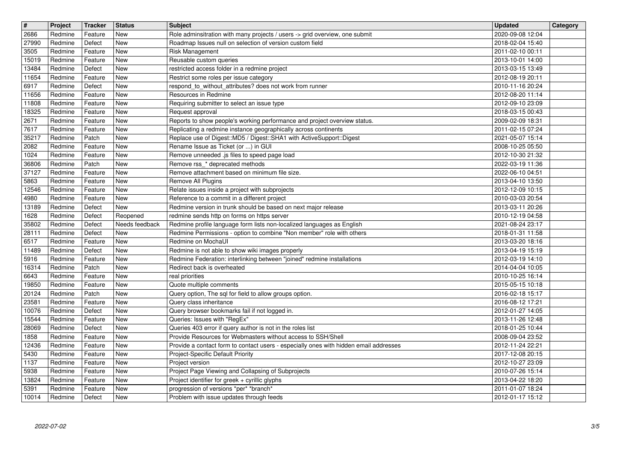| $\overline{\mathbf{H}}$ | Project | Tracker | <b>Status</b>  | <b>Subject</b>                                                                        | <b>Updated</b>   | Category |
|-------------------------|---------|---------|----------------|---------------------------------------------------------------------------------------|------------------|----------|
| 2686                    | Redmine | Feature | New            | Role adminsitration with many projects / users -> grid overview, one submit           | 2020-09-08 12:04 |          |
| 27990                   | Redmine | Defect  | <b>New</b>     | Roadmap Issues null on selection of version custom field                              | 2018-02-04 15:40 |          |
| 3505                    | Redmine | Feature | <b>New</b>     | Risk Management                                                                       | 2011-02-10 00:11 |          |
| 15019                   | Redmine | Feature | <b>New</b>     | Reusable custom queries                                                               | 2013-10-01 14:00 |          |
| 13484                   | Redmine | Defect  | <b>New</b>     | restricted access folder in a redmine project                                         | 2013-03-15 13:49 |          |
| 11654                   | Redmine | Feature | <b>New</b>     | Restrict some roles per issue category                                                | 2012-08-19 20:11 |          |
| 6917                    | Redmine | Defect  | <b>New</b>     | respond_to_without_attributes? does not work from runner                              | 2010-11-16 20:24 |          |
| 11656                   | Redmine | Feature | New            | Resources in Redmine                                                                  | 2012-08-20 11:14 |          |
| 11808                   | Redmine | Feature | New            | Requiring submitter to select an issue type                                           | 2012-09-10 23:09 |          |
| 18325                   | Redmine | Feature | <b>New</b>     | Request approval                                                                      | 2018-03-15 00:43 |          |
| 2671                    | Redmine | Feature | <b>New</b>     | Reports to show people's working performance and project overview status.             | 2009-02-09 18:31 |          |
| 7617                    | Redmine | Feature | <b>New</b>     | Replicating a redmine instance geographically across continents                       | 2011-02-15 07:24 |          |
| 35217                   | Redmine | Patch   | <b>New</b>     | Replace use of Digest::MD5 / Digest::SHA1 with ActiveSupport::Digest                  | 2021-05-07 15:14 |          |
| 2082                    | Redmine | Feature | New            | Rename Issue as Ticket (or ) in GUI                                                   | 2008-10-25 05:50 |          |
| 1024                    | Redmine | Feature | <b>New</b>     | Remove unneeded .js files to speed page load                                          | 2012-10-30 21:32 |          |
| 36806                   | Redmine | Patch   | <b>New</b>     | Remove rss_* deprecated methods                                                       | 2022-03-19 11:36 |          |
| 37127                   | Redmine | Feature | New            | Remove attachment based on minimum file size.                                         | 2022-06-10 04:51 |          |
| 5863                    | Redmine | Feature | New            | Remove All Plugins                                                                    | 2013-04-10 13:50 |          |
| 12546                   | Redmine | Feature | New            | Relate issues inside a project with subprojects                                       | 2012-12-09 10:15 |          |
| 4980                    | Redmine | Feature | <b>New</b>     | Reference to a commit in a different project                                          | 2010-03-03 20:54 |          |
| 13189                   | Redmine | Defect  | <b>New</b>     | Redmine version in trunk should be based on next major release                        | 2013-03-11 20:26 |          |
| 1628                    | Redmine | Defect  | Reopened       | redmine sends http on forms on https server                                           | 2010-12-19 04:58 |          |
| 35802                   | Redmine | Defect  | Needs feedback | Redmine profile language form lists non-localized languages as English                | 2021-08-24 23:17 |          |
| 28111                   | Redmine | Defect  | <b>New</b>     | Redmine Permissions - option to combine "Non member" role with others                 | 2018-01-31 11:58 |          |
| 6517                    | Redmine | Feature | <b>New</b>     | Redmine on MochaUI                                                                    | 2013-03-20 18:16 |          |
| 11489                   | Redmine | Defect  | <b>New</b>     | Redmine is not able to show wiki images properly                                      | 2013-04-19 15:19 |          |
| 5916                    | Redmine | Feature | New            | Redmine Federation: interlinking between "joined" redmine installations               | 2012-03-19 14:10 |          |
| 16314                   | Redmine | Patch   | <b>New</b>     | Redirect back is overheated                                                           | 2014-04-04 10:05 |          |
| 6643                    | Redmine | Feature | <b>New</b>     | real priorities                                                                       | 2010-10-25 16:14 |          |
| 19850                   | Redmine | Feature | <b>New</b>     | Quote multiple comments                                                               | 2015-05-15 10:18 |          |
| 20124                   | Redmine | Patch   | <b>New</b>     | Query option, The sql for field to allow groups option.                               | 2016-02-18 15:17 |          |
| 23581                   | Redmine | Feature | New            | Query class inheritance                                                               | 2016-08-12 17:21 |          |
| 10076                   | Redmine | Defect  | <b>New</b>     | Query browser bookmarks fail if not logged in.                                        | 2012-01-27 14:05 |          |
| 15544                   | Redmine | Feature | <b>New</b>     | Queries: Issues with "RegEx"                                                          | 2013-11-26 12:48 |          |
| 28069                   | Redmine | Defect  | <b>New</b>     | Queries 403 error if query author is not in the roles list                            | 2018-01-25 10:44 |          |
| 1858                    | Redmine | Feature | New            | Provide Resources for Webmasters without access to SSH/Shell                          | 2008-09-04 23:52 |          |
| 12436                   | Redmine | Feature | New            | Provide a contact form to contact users - especially ones with hidden email addresses | 2012-11-24 22:21 |          |
| 5430                    | Redmine | Feature | New            | Project-Specific Default Priority                                                     | 2017-12-08 20:15 |          |
| 1137                    | Redmine | Feature | New            | Project version                                                                       | 2012-10-27 23:09 |          |
| 5938                    | Redmine | Feature | New            | Project Page Viewing and Collapsing of Subprojects                                    | 2010-07-26 15:14 |          |
| 13824                   | Redmine | Feature | New            | Project identifier for greek + cyrillic glyphs                                        | 2013-04-22 18:20 |          |
| 5391                    | Redmine | Feature | New            | progression of versions *per* *branch*                                                | 2011-01-07 18:24 |          |
| 10014                   | Redmine | Defect  | New            | Problem with issue updates through feeds                                              | 2012-01-17 15:12 |          |
|                         |         |         |                |                                                                                       |                  |          |
|                         |         |         |                |                                                                                       |                  |          |
|                         |         |         |                |                                                                                       |                  |          |
|                         |         |         |                |                                                                                       |                  |          |
|                         |         |         |                |                                                                                       |                  |          |
|                         |         |         |                |                                                                                       |                  |          |
|                         |         |         |                |                                                                                       |                  |          |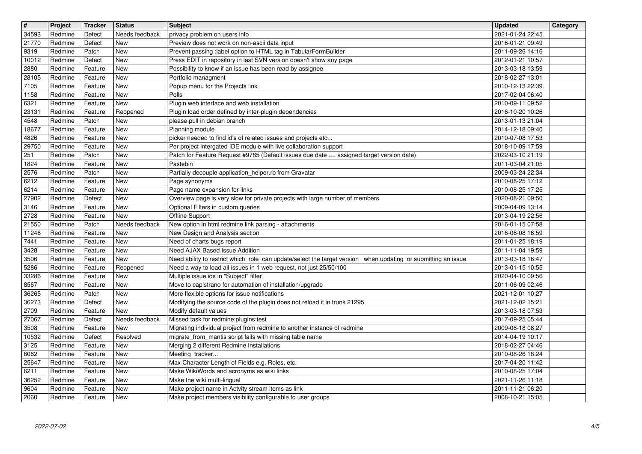| $\sqrt{t}$ | Project | <b>Tracker</b> | <b>Status</b>  | <b>Subject</b>                                                                                                | <b>Updated</b>   | Category |
|------------|---------|----------------|----------------|---------------------------------------------------------------------------------------------------------------|------------------|----------|
| 34593      | Redmine | Defect         | Needs feedback | privacy problem on users info                                                                                 | 2021-01-24 22:45 |          |
| 21770      | Redmine | Defect         | New            | Preview does not work on non-ascii data input                                                                 | 2016-01-21 09:49 |          |
| 9319       | Redmine | Patch          | New            | Prevent passing :label option to HTML tag in TabularFormBuilder                                               | 2011-09-26 14:16 |          |
| 10012      | Redmine | Defect         | New            | Press EDIT in repository in last SVN version doesn't show any page                                            | 2012-01-21 10:57 |          |
| 2880       | Redmine | Feature        | New            | Possibility to know if an issue has been read by assignee                                                     | 2013-03-18 13:59 |          |
| 28105      | Redmine | Feature        | New            | Portfolio managment                                                                                           | 2018-02-27 13:01 |          |
| 7105       | Redmine | Feature        | New            | Popup menu for the Projects link                                                                              | 2010-12-13 22:39 |          |
| 1158       | Redmine | Feature        | New            | Polls                                                                                                         | 2017-02-04 06:40 |          |
| 6321       | Redmine | Feature        | New            | Plugin web interface and web installation                                                                     | 2010-09-11 09:52 |          |
| 23131      | Redmine | Feature        | Reopened       | Plugin load order defined by inter-plugin dependencies                                                        | 2016-10-20 10:26 |          |
| 4548       | Redmine | Patch          | <b>New</b>     | please pull in debian branch                                                                                  | 2013-01-13 21:04 |          |
| 18677      | Redmine | Feature        | New            | Planning module                                                                                               | 2014-12-18 09:40 |          |
| 4826       | Redmine | Feature        | New            | picker needed to find id's of related issues and projects etc                                                 | 2010-07-08 17:53 |          |
| 29750      | Redmine | Feature        | New            | Per project intergated IDE module with live collaboration support                                             | 2018-10-09 17:59 |          |
| 251        | Redmine | Patch          | New            | Patch for Feature Request #9785 (Default issues due date == assigned target version date)                     | 2022-03-10 21:19 |          |
| 1824       | Redmine | Feature        | New            | Pastebin                                                                                                      | 2011-03-04 21:05 |          |
| 2576       | Redmine | Patch          | New            | Partially decouple application helper.rb from Gravatar                                                        | 2009-03-24 22:34 |          |
| 6212       | Redmine | Feature        | New            | Page synonyms                                                                                                 | 2010-08-25 17:12 |          |
| 6214       | Redmine | Feature        | New            | Page name expansion for links                                                                                 | 2010-08-25 17:25 |          |
| 27902      | Redmine | Defect         | <b>New</b>     | Overview page is very slow for private projects with large number of members                                  | 2020-08-21 09:50 |          |
| 3146       | Redmine | Feature        | New            | Optional Filters in custom queries                                                                            | 2009-04-09 13:14 |          |
| 2728       | Redmine | Feature        | New            | Offline Support                                                                                               | 2013-04-19 22:56 |          |
| 21550      | Redmine | Patch          | Needs feedback | New option in html redmine link parsing - attachments                                                         | 2016-01-15 07:58 |          |
| 11246      | Redmine | Feature        | New            | New Design and Analysis section                                                                               | 2016-06-08 16:59 |          |
| 7441       | Redmine | Feature        | New            | Need of charts bugs report                                                                                    | 2011-01-25 18:19 |          |
| 3428       | Redmine | Feature        | New            | Need AJAX Based Issue Addition                                                                                | 2011-11-04 19:59 |          |
| 3506       | Redmine | Feature        | New            | Need ability to restrict which role can update/select the target version when updating or submitting an issue | 2013-03-18 16:47 |          |
| 5286       | Redmine | Feature        | Reopened       | Need a way to load all issues in 1 web request, not just 25/50/100                                            | 2013-01-15 10:55 |          |
| 33286      | Redmine | Feature        | New            | Multiple issue ids in "Subject" filter                                                                        | 2020-04-10 09:56 |          |
| 8567       | Redmine | Feature        | <b>New</b>     | Move to capistrano for automation of installation/upgrade                                                     | 2011-06-09 02:46 |          |
| 36265      | Redmine | Patch          | New            | More flexible options for issue notifications                                                                 | 2021-12-01 10:27 |          |
| 36273      | Redmine | Defect         | New            | Modifying the source code of the plugin does not reload it in trunk 21295                                     | 2021-12-02 15:21 |          |
| 2709       | Redmine | Feature        | New            | Modify default values                                                                                         | 2013-03-18 07:53 |          |
| 27067      | Redmine | Defect         | Needs feedback | Missed task for redmine: plugins: test                                                                        | 2017-09-25 05:44 |          |
| 3508       | Redmine | Feature        | New            | Migrating individual project from redmine to another instance of redmine                                      | 2009-06-18 08:27 |          |
| 10532      | Redmine | Defect         | Resolved       | migrate_from_mantis script fails with missing table name                                                      | 2014-04-19 10:17 |          |
| 3125       | Redmine | Feature        | New            | Merging 2 different Redmine Installations                                                                     | 2018-02-27 04:46 |          |
| 6062       | Redmine | Feature        | New            | Meeting tracker                                                                                               | 2010-08-26 18:24 |          |
| 25647      | Redmine | Feature        | New            | Max Character Length of Fields e.g. Roles, etc.                                                               | 2017-04-20 11:42 |          |
| 6211       | Redmine | Feature        | New            | Make WikiWords and acronyms as wiki links                                                                     | 2010-08-25 17:04 |          |
| 36252      | Redmine | Feature        | New            | Make the wiki multi-lingual                                                                                   | 2021-11-26 11:18 |          |
| 9604       | Redmine | Feature        | New            | Make project name in Actvity stream items as link                                                             | 2011-11-21 06:20 |          |
| 2060       | Redmine | Feature        | New            | Make project members visibility configurable to user groups                                                   | 2008-10-21 15:05 |          |
|            |         |                |                |                                                                                                               |                  |          |
|            |         |                |                |                                                                                                               |                  |          |
|            |         |                |                |                                                                                                               |                  |          |
|            |         |                |                |                                                                                                               |                  |          |
|            |         |                |                |                                                                                                               |                  |          |
|            |         |                |                |                                                                                                               |                  |          |
|            |         |                |                |                                                                                                               |                  |          |